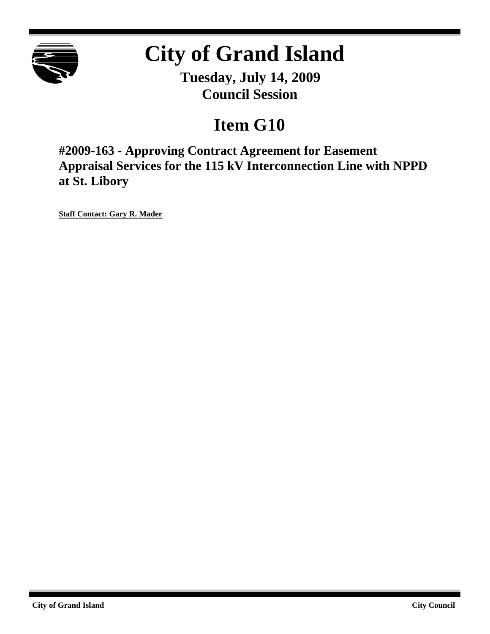

# **City of Grand Island**

**Tuesday, July 14, 2009 Council Session**

## **Item G10**

**#2009-163 - Approving Contract Agreement for Easement Appraisal Services for the 115 kV Interconnection Line with NPPD at St. Libory**

**Staff Contact: Gary R. Mader**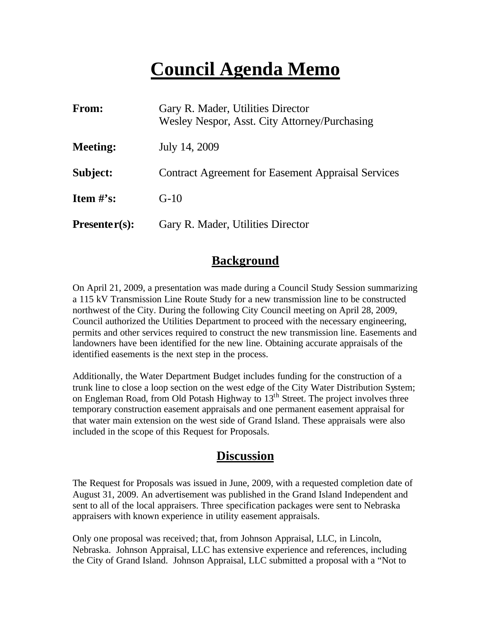## **Council Agenda Memo**

| From:           | Gary R. Mader, Utilities Director<br>Wesley Nespor, Asst. City Attorney/Purchasing |
|-----------------|------------------------------------------------------------------------------------|
| <b>Meeting:</b> | July 14, 2009                                                                      |
| Subject:        | <b>Contract Agreement for Easement Appraisal Services</b>                          |
| Item $\#$ 's:   | $G-10$                                                                             |
| $Presenter(s):$ | Gary R. Mader, Utilities Director                                                  |

### **Background**

On April 21, 2009, a presentation was made during a Council Study Session summarizing a 115 kV Transmission Line Route Study for a new transmission line to be constructed northwest of the City. During the following City Council meeting on April 28, 2009, Council authorized the Utilities Department to proceed with the necessary engineering, permits and other services required to construct the new transmission line. Easements and landowners have been identified for the new line. Obtaining accurate appraisals of the identified easements is the next step in the process.

Additionally, the Water Department Budget includes funding for the construction of a trunk line to close a loop section on the west edge of the City Water Distribution System; on Engleman Road, from Old Potash Highway to 13<sup>th</sup> Street. The project involves three temporary construction easement appraisals and one permanent easement appraisal for that water main extension on the west side of Grand Island. These appraisals were also included in the scope of this Request for Proposals.

#### **Discussion**

The Request for Proposals was issued in June, 2009, with a requested completion date of August 31, 2009. An advertisement was published in the Grand Island Independent and sent to all of the local appraisers. Three specification packages were sent to Nebraska appraisers with known experience in utility easement appraisals.

Only one proposal was received; that, from Johnson Appraisal, LLC, in Lincoln, Nebraska. Johnson Appraisal, LLC has extensive experience and references, including the City of Grand Island. Johnson Appraisal, LLC submitted a proposal with a "Not to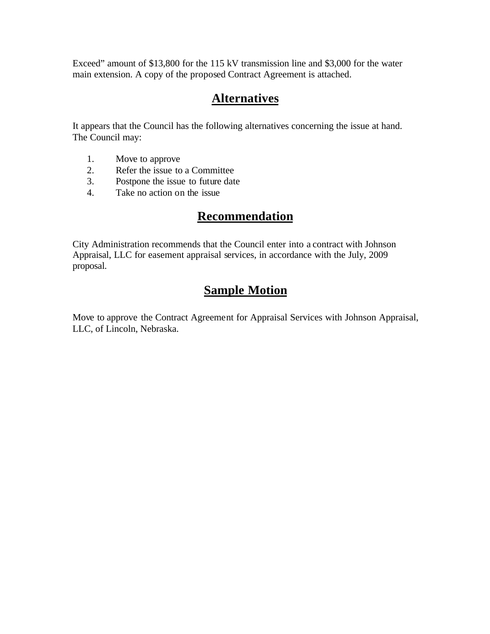Exceed" amount of \$13,800 for the 115 kV transmission line and \$3,000 for the water main extension. A copy of the proposed Contract Agreement is attached.

## **Alternatives**

It appears that the Council has the following alternatives concerning the issue at hand. The Council may:

- 1. Move to approve
- 2. Refer the issue to a Committee<br>3. Postpone the issue to future date
- Postpone the issue to future date
- 4. Take no action on the issue

### **Recommendation**

City Administration recommends that the Council enter into a contract with Johnson Appraisal, LLC for easement appraisal services, in accordance with the July, 2009 proposal.

## **Sample Motion**

Move to approve the Contract Agreement for Appraisal Services with Johnson Appraisal, LLC, of Lincoln, Nebraska.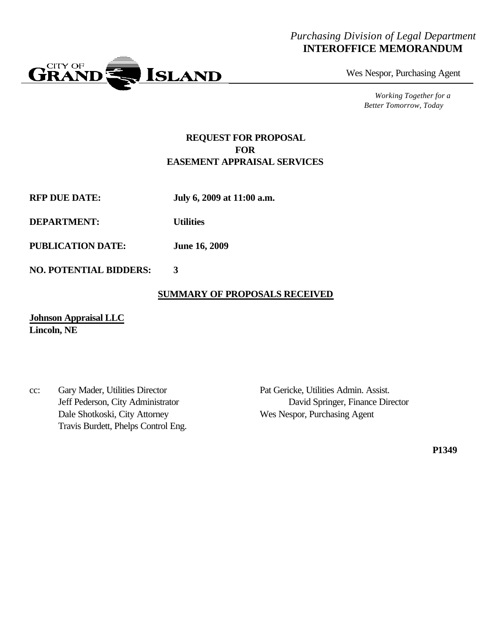#### *Purchasing Division of Legal Department* **INTEROFFICE MEMORANDUM**



Wes Nespor, Purchasing Agent

*Working Together for a Better Tomorrow, Today*

#### **REQUEST FOR PROPOSAL FOR EASEMENT APPRAISAL SERVICES**

**RFP DUE DATE: July 6, 2009 at 11:00 a.m.**

**DEPARTMENT: Utilities**

**PUBLICATION DATE: June 16, 2009**

**NO. POTENTIAL BIDDERS: 3**

#### **SUMMARY OF PROPOSALS RECEIVED**

**Johnson Appraisal LLC Lincoln, NE**

cc: Gary Mader, Utilities Director Pat Gericke, Utilities Admin. Assist. Dale Shotkoski, City Attorney Wes Nespor, Purchasing Agent Travis Burdett, Phelps Control Eng.

Jeff Pederson, City Administrator David Springer, Finance Director

**P1349**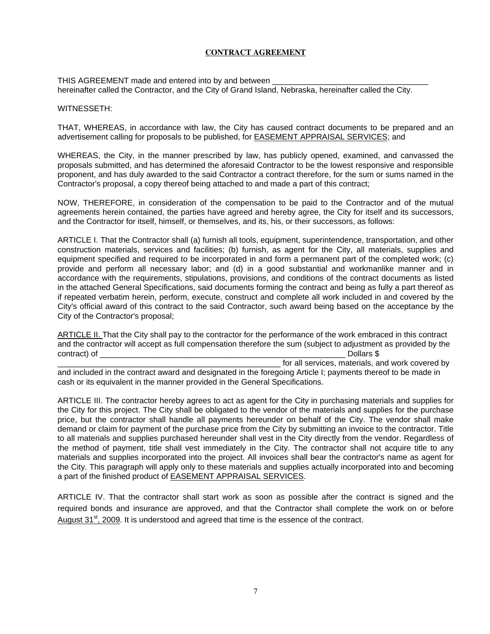#### **CONTRACT AGREEMENT**

THIS AGREEMENT made and entered into by and between hereinafter called the Contractor, and the City of Grand Island, Nebraska, hereinafter called the City.

#### WITNESSETH:

THAT, WHEREAS, in accordance with law, the City has caused contract documents to be prepared and an advertisement calling for proposals to be published, for EASEMENT APPRAISAL SERVICES; and

WHEREAS, the City, in the manner prescribed by law, has publicly opened, examined, and canvassed the proposals submitted, and has determined the aforesaid Contractor to be the lowest responsive and responsible proponent, and has duly awarded to the said Contractor a contract therefore, for the sum or sums named in the Contractor's proposal, a copy thereof being attached to and made a part of this contract;

NOW, THEREFORE, in consideration of the compensation to be paid to the Contractor and of the mutual agreements herein contained, the parties have agreed and hereby agree, the City for itself and its successors, and the Contractor for itself, himself, or themselves, and its, his, or their successors, as follows:

ARTICLE I. That the Contractor shall (a) furnish all tools, equipment, superintendence, transportation, and other construction materials, services and facilities; (b) furnish, as agent for the City, all materials, supplies and equipment specified and required to be incorporated in and form a permanent part of the completed work; (c) provide and perform all necessary labor; and (d) in a good substantial and workmanlike manner and in accordance with the requirements, stipulations, provisions, and conditions of the contract documents as listed in the attached General Specifications, said documents forming the contract and being as fully a part thereof as if repeated verbatim herein, perform, execute, construct and complete all work included in and covered by the City's official award of this contract to the said Contractor, such award being based on the acceptance by the City of the Contractor's proposal;

ARTICLE II. That the City shall pay to the contractor for the performance of the work embraced in this contract and the contractor will accept as full compensation therefore the sum (subject to adjustment as provided by the contract) of \_\_\_\_\_\_\_\_\_\_\_\_\_\_\_\_\_\_\_\_\_\_\_\_\_\_\_\_\_\_\_\_\_\_\_\_\_\_\_\_\_\_\_\_\_\_\_\_\_\_\_\_\_\_\_ Dollars \$

for all services, materials, and work covered by and included in the contract award and designated in the foregoing Article I; payments thereof to be made in

cash or its equivalent in the manner provided in the General Specifications.

ARTICLE III. The contractor hereby agrees to act as agent for the City in purchasing materials and supplies for the City for this project. The City shall be obligated to the vendor of the materials and supplies for the purchase price, but the contractor shall handle all payments hereunder on behalf of the City. The vendor shall make demand or claim for payment of the purchase price from the City by submitting an invoice to the contractor. Title to all materials and supplies purchased hereunder shall vest in the City directly from the vendor. Regardless of the method of payment, title shall vest immediately in the City. The contractor shall not acquire title to any materials and supplies incorporated into the project. All invoices shall bear the contractor's name as agent for the City. This paragraph will apply only to these materials and supplies actually incorporated into and becoming a part of the finished product of EASEMENT APPRAISAL SERVICES.

ARTICLE IV. That the contractor shall start work as soon as possible after the contract is signed and the required bonds and insurance are approved, and that the Contractor shall complete the work on or before August  $31<sup>st</sup>$ , 2009. It is understood and agreed that time is the essence of the contract.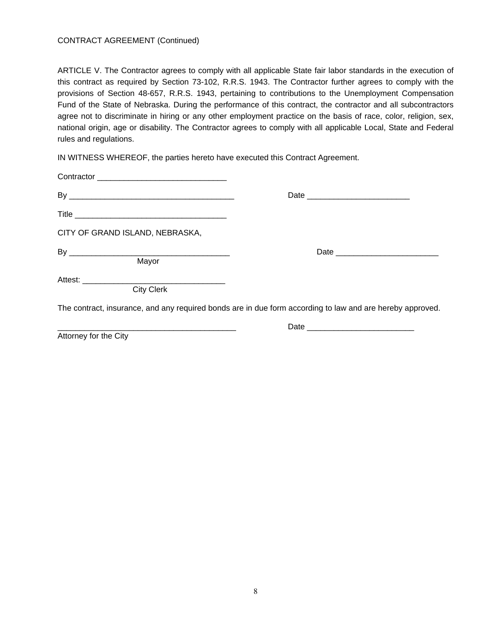#### CONTRACT AGREEMENT (Continued)

ARTICLE V. The Contractor agrees to comply with all applicable State fair labor standards in the execution of this contract as required by Section 73-102, R.R.S. 1943. The Contractor further agrees to comply with the provisions of Section 48-657, R.R.S. 1943, pertaining to contributions to the Unemployment Compensation Fund of the State of Nebraska. During the performance of this contract, the contractor and all subcontractors agree not to discriminate in hiring or any other employment practice on the basis of race, color, religion, sex, national origin, age or disability. The Contractor agrees to comply with all applicable Local, State and Federal rules and regulations.

IN WITNESS WHEREOF, the parties hereto have executed this Contract Agreement.

| By<br>Date                                                                                                |
|-----------------------------------------------------------------------------------------------------------|
|                                                                                                           |
|                                                                                                           |
|                                                                                                           |
|                                                                                                           |
| The contract, insurance, and any required bonds are in due form according to law and are hereby approved. |
|                                                                                                           |
|                                                                                                           |